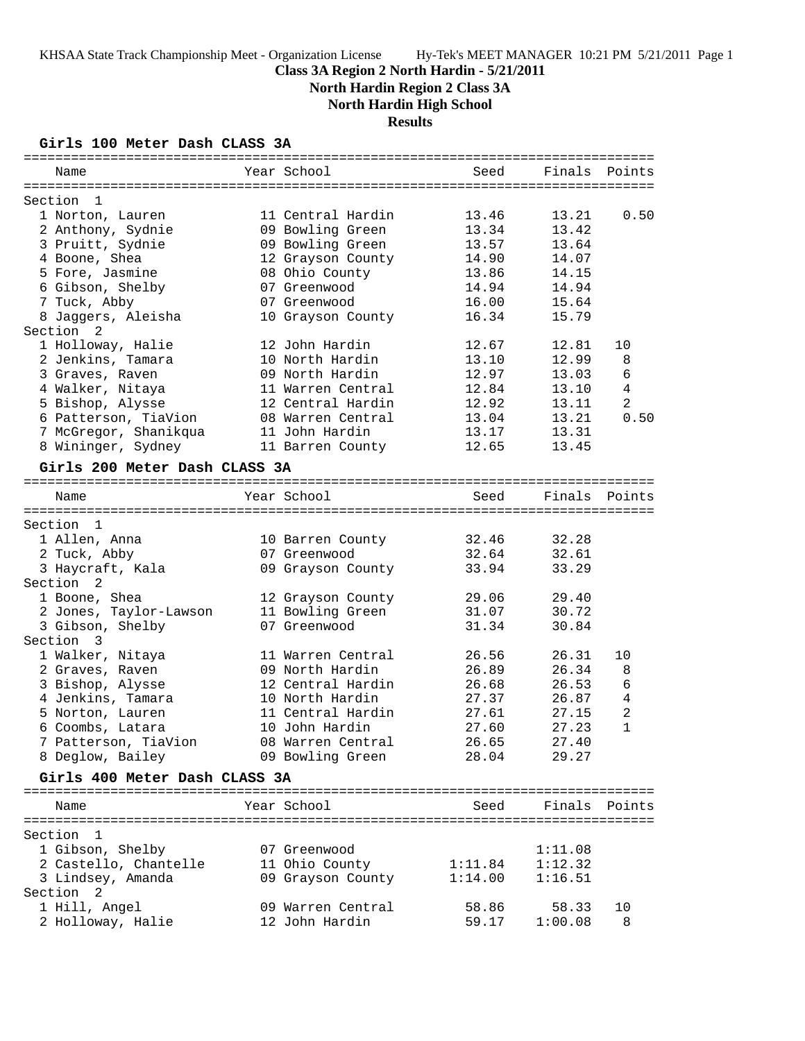# **Class 3A Region 2 North Hardin - 5/21/2011**

**North Hardin Region 2 Class 3A**

**North Hardin High School**

# **Results**

## **Girls 100 Meter Dash CLASS 3A**

| Name                          | Year School       | Seed    |         | Finals Points  |
|-------------------------------|-------------------|---------|---------|----------------|
|                               |                   |         |         |                |
| Section<br>- 1                |                   |         |         |                |
| 1 Norton, Lauren              | 11 Central Hardin | 13.46   | 13.21   | 0.50           |
| 2 Anthony, Sydnie             | 09 Bowling Green  | 13.34   | 13.42   |                |
| 3 Pruitt, Sydnie              | 09 Bowling Green  | 13.57   | 13.64   |                |
| 4 Boone, Shea                 | 12 Grayson County | 14.90   | 14.07   |                |
| 5 Fore, Jasmine               | 08 Ohio County    | 13.86   | 14.15   |                |
| 6 Gibson, Shelby              | 07 Greenwood      | 14.94   | 14.94   |                |
| 7 Tuck, Abby                  | 07 Greenwood      | 16.00   | 15.64   |                |
| 8 Jaggers, Aleisha            | 10 Grayson County | 16.34   | 15.79   |                |
| Section 2                     |                   |         |         |                |
| 1 Holloway, Halie             | 12 John Hardin    | 12.67   | 12.81   | 10             |
| 2 Jenkins, Tamara             | 10 North Hardin   | 13.10   | 12.99   | 8              |
| 3 Graves, Raven               | 09 North Hardin   | 12.97   | 13.03   | 6              |
| 4 Walker, Nitaya              | 11 Warren Central | 12.84   | 13.10   | $\overline{4}$ |
| 5 Bishop, Alysse              | 12 Central Hardin | 12.92   | 13.11   | $\overline{2}$ |
| 6 Patterson, TiaVion          | 08 Warren Central | 13.04   | 13.21   | 0.50           |
| 7 McGregor, Shanikqua         | 11 John Hardin    | 13.17   | 13.31   |                |
| 8 Wininger, Sydney            | 11 Barren County  | 12.65   | 13.45   |                |
| Girls 200 Meter Dash CLASS 3A |                   |         |         |                |
|                               |                   |         |         |                |
| Name                          | Year School       | Seed    |         | Finals Points  |
|                               |                   |         |         |                |
| Section 1                     |                   |         |         |                |
| 1 Allen, Anna                 | 10 Barren County  | 32.46   | 32.28   |                |
| 2 Tuck, Abby                  | 07 Greenwood      | 32.64   | 32.61   |                |
| 3 Haycraft, Kala              | 09 Grayson County | 33.94   | 33.29   |                |
| Section <sub>2</sub>          |                   |         |         |                |
| 1 Boone, Shea                 | 12 Grayson County | 29.06   | 29.40   |                |
| 2 Jones, Taylor-Lawson        | 11 Bowling Green  | 31.07   | 30.72   |                |
| 3 Gibson, Shelby              | 07 Greenwood      | 31.34   | 30.84   |                |
| Section 3                     |                   |         |         |                |
| 1 Walker, Nitaya              | 11 Warren Central | 26.56   | 26.31   | 10             |
| 2 Graves, Raven               | 09 North Hardin   | 26.89   | 26.34   | 8              |
| 3 Bishop, Alysse              | 12 Central Hardin | 26.68   | 26.53   | 6              |
| 4 Jenkins, Tamara             | 10 North Hardin   | 27.37   | 26.87   | 4              |
| 5 Norton, Lauren              | 11 Central Hardin | 27.61   | 27.15   | 2              |
| 6 Coombs, Latara              | 10 John Hardin    | 27.60   | 27.23   | $\mathbf{1}$   |
| 7 Patterson, TiaVion          | 08 Warren Central | 26.65   | 27.40   |                |
| 8 Deglow, Bailey              | 09 Bowling Green  | 28.04   | 29.27   |                |
|                               |                   |         |         |                |
| Girls 400 Meter Dash CLASS 3A |                   |         |         |                |
|                               |                   |         |         |                |
| Name                          | Year School       | Seed    |         | Finals Points  |
|                               |                   |         |         |                |
| Section 1                     |                   |         |         |                |
| 1 Gibson, Shelby              | 07 Greenwood      |         | 1:11.08 |                |
| 2 Castello, Chantelle         | 11 Ohio County    | 1:11.84 | 1:12.32 |                |
| 3 Lindsey, Amanda             | 09 Grayson County | 1:14.00 | 1:16.51 |                |
| Section 2                     |                   |         |         |                |
| 1 Hill, Angel                 | 09 Warren Central | 58.86   | 58.33   | 10             |
| 2 Holloway, Halie             | 12 John Hardin    | 59.17   | 1:00.08 | 8              |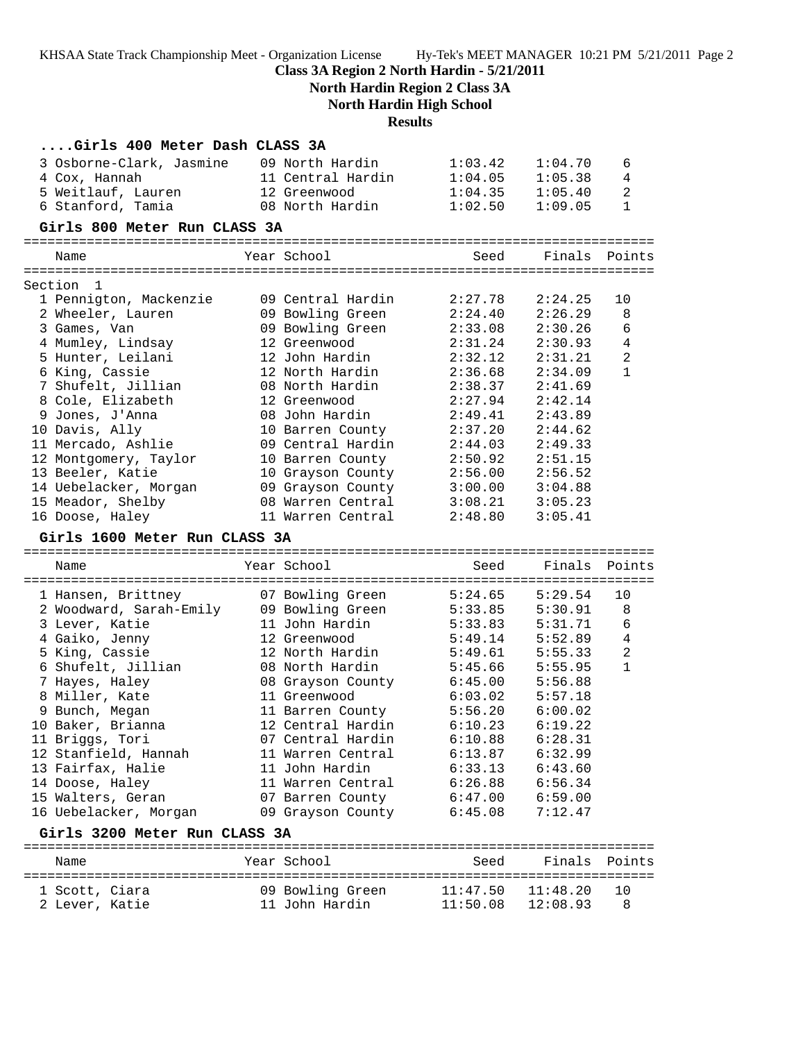**Class 3A Region 2 North Hardin - 5/21/2011**

**North Hardin Region 2 Class 3A North Hardin High School**

**Results**

| Girls 400 Meter Dash CLASS 3A |                   |          |               |                |
|-------------------------------|-------------------|----------|---------------|----------------|
| 3 Osborne-Clark, Jasmine      | 09 North Hardin   | 1:03.42  | 1:04.70       | 6              |
| 4 Cox, Hannah                 | 11 Central Hardin | 1:04.05  | 1:05.38       | 4              |
| 5 Weitlauf, Lauren            | 12 Greenwood      | 1:04.35  | 1:05.40       | $\overline{a}$ |
| 6 Stanford, Tamia             | 08 North Hardin   | 1:02.50  | 1:09.05       | $\mathbf{1}$   |
| Girls 800 Meter Run CLASS 3A  |                   |          |               |                |
| Name                          | Year School       | Seed     | Finals Points |                |
| Section<br>1                  |                   |          |               |                |
| 1 Pennigton, Mackenzie        | 09 Central Hardin | 2:27.78  | 2:24.25       | 10             |
| 2 Wheeler, Lauren             | 09 Bowling Green  | 2:24.40  | 2:26.29       | 8              |
| 3 Games, Van                  | 09 Bowling Green  | 2:33.08  | 2:30.26       | 6              |
| 4 Mumley, Lindsay             | 12 Greenwood      | 2:31.24  | 2:30.93       | $\overline{4}$ |
| 5 Hunter, Leilani             | 12 John Hardin    | 2:32.12  | 2:31.21       | $\overline{a}$ |
| 6 King, Cassie                | 12 North Hardin   | 2:36.68  | 2:34.09       | $\mathbf{1}$   |
| 7 Shufelt, Jillian            | 08 North Hardin   | 2:38.37  | 2:41.69       |                |
| 8 Cole, Elizabeth             | 12 Greenwood      | 2:27.94  | 2:42.14       |                |
| 9 Jones, J'Anna               | 08 John Hardin    | 2:49.41  | 2:43.89       |                |
| 10 Davis, Ally                | 10 Barren County  | 2:37.20  | 2:44.62       |                |
| 11 Mercado, Ashlie            | 09 Central Hardin | 2:44.03  | 2:49.33       |                |
| 12 Montgomery, Taylor         | 10 Barren County  | 2:50.92  | 2:51.15       |                |
| 13 Beeler, Katie              | 10 Grayson County | 2:56.00  | 2:56.52       |                |
| 14 Uebelacker, Morgan         | 09 Grayson County | 3:00.00  | 3:04.88       |                |
| 15 Meador, Shelby             | 08 Warren Central | 3:08.21  | 3:05.23       |                |
| 16 Doose, Haley               | 11 Warren Central | 2:48.80  | 3:05.41       |                |
| Girls 1600 Meter Run CLASS 3A |                   |          |               |                |
| Name                          | Year School       | Seed     | Finals        | Points         |
| 1 Hansen, Brittney            | 07 Bowling Green  | 5:24.65  | 5:29.54       | 10             |
| 2 Woodward, Sarah-Emily       | 09 Bowling Green  | 5:33.85  | 5:30.91       | 8              |
| 3 Lever, Katie                | 11 John Hardin    | 5:33.83  | 5:31.71       | 6              |
| 4 Gaiko, Jenny                | 12 Greenwood      | 5:49.14  | 5:52.89       | $\overline{4}$ |
| 5 King, Cassie                | 12 North Hardin   | 5:49.61  | 5:55.33       | $\overline{a}$ |
| 6 Shufelt, Jillian            | 08 North Hardin   | 5:45.66  | 5:55.95       | $\mathbf{1}$   |
| 7 Hayes, Haley                | 08 Grayson County | 6:45.00  | 5:56.88       |                |
| 8 Miller, Kate                | 11 Greenwood      | 6:03.02  | 5:57.18       |                |
| 9 Bunch, Megan                | 11 Barren County  | 5:56.20  | 6:00.02       |                |
| 10 Baker, Brianna             | 12 Central Hardin | 6:10.23  | 6:19.22       |                |
| 11 Briggs, Tori               | 07 Central Hardin | 6:10.88  | 6:28.31       |                |
| 12 Stanfield, Hannah          | 11 Warren Central | 6:13.87  | 6:32.99       |                |
| 13 Fairfax, Halie             | 11 John Hardin    | 6:33.13  | 6:43.60       |                |
| 14 Doose, Haley               | 11 Warren Central | 6:26.88  | 6:56.34       |                |
| 15 Walters, Geran             | 07 Barren County  | 6:47.00  | 6:59.00       |                |
| 16 Uebelacker, Morgan         | 09 Grayson County | 6:45.08  | 7:12.47       |                |
| Girls 3200 Meter Run CLASS 3A |                   |          |               |                |
| Name                          | Year School       | Seed     | Finals        | Points         |
| 1 Scott, Ciara                | 09 Bowling Green  | 11:47.50 | 11:48.20      | 10             |

2 Lever, Katie 11 John Hardin 11:50.08 12:08.93 8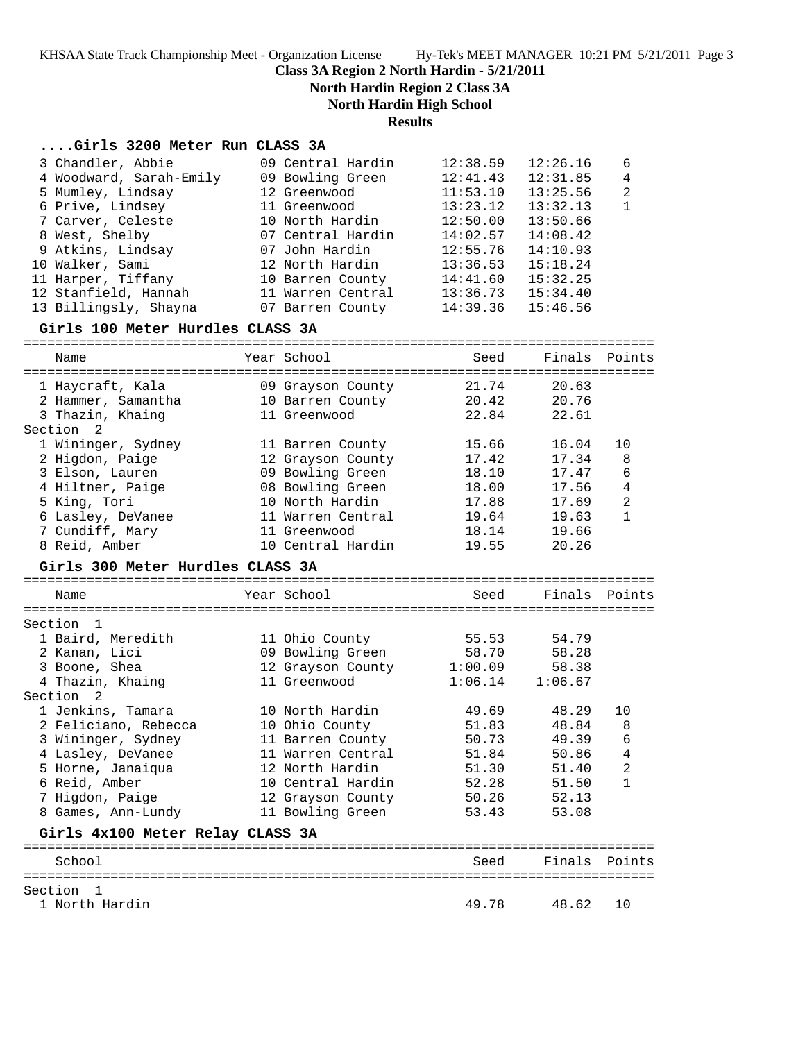**Class 3A Region 2 North Hardin - 5/21/2011**

**North Hardin Region 2 Class 3A**

**North Hardin High School**

### **Results**

#### **....Girls 3200 Meter Run CLASS 3A**

| 3 Chandler, Abbie       | 09 Central Hardin | 12:38.59 | 12:26.16 | -6             |
|-------------------------|-------------------|----------|----------|----------------|
| 4 Woodward, Sarah-Emily | 09 Bowling Green  | 12:41.43 | 12:31.85 | $\overline{4}$ |
| 5 Mumley, Lindsay       | 12 Greenwood      | 11:53.10 | 13:25.56 | $\mathfrak{D}$ |
| 6 Prive, Lindsey        | 11 Greenwood      | 13:23.12 | 13:32.13 | $\mathbf{1}$   |
| 7 Carver, Celeste       | 10 North Hardin   | 12:50.00 | 13:50.66 |                |
| 8 West, Shelby          | 07 Central Hardin | 14:02.57 | 14:08.42 |                |
| 9 Atkins, Lindsay       | 07 John Hardin    | 12:55.76 | 14:10.93 |                |
| 10 Walker, Sami         | 12 North Hardin   | 13:36.53 | 15:18.24 |                |
| 11 Harper, Tiffany      | 10 Barren County  | 14:41.60 | 15:32.25 |                |
| 12 Stanfield, Hannah    | 11 Warren Central | 13:36.73 | 15:34.40 |                |
| 13 Billingsly, Shayna   | 07 Barren County  | 14:39.36 | 15:46.56 |                |

#### **Girls 100 Meter Hurdles CLASS 3A**

================================================================================ Name Year School Seed Finals Points ================================================================================ 1 Haycraft, Kala 09 Grayson County 21.74 20.63 2 Hammer, Samantha 10 Barren County 20.42 20.76 3 Thazin, Khaing 11 Greenwood 22.84 22.61 Section 2 1 Wininger, Sydney 11 Barren County 15.66 16.04 10 2 Higdon, Paige 12 Grayson County 17.42 17.34 8 3 Elson, Lauren 09 Bowling Green 18.10 17.47 6 4 Hiltner, Paige 08 Bowling Green 18.00 17.56 4 5 King, Tori 10 North Hardin 17.88 17.69 2 6 Lasley, DeVanee 11 Warren Central 19.64 19.63 1 7 Cundiff, Mary 11 Greenwood 18.14 19.66 8 Reid, Amber 10 Central Hardin 19.55 20.26 **Girls 300 Meter Hurdles CLASS 3A** ================================================================================ Name Year School Seed Finals Points ================================================================================ Section 1 1 Baird, Meredith 11 Ohio County 55.53 54.79 2 Kanan, Lici 09 Bowling Green 58.70 58.28 3 Boone, Shea 12 Grayson County 1:00.09 58.38 4 Thazin, Khaing 11 Greenwood 1:06.14 1:06.67 Section 2 1 Jenkins, Tamara 10 North Hardin 49.69 48.29 10 2 Feliciano, Rebecca 10 Ohio County 51.83 48.84 8 3 Wininger, Sydney 11 Barren County 50.73 49.39 6 4 Lasley, DeVanee 11 Warren Central 51.84 50.86 4 5 Horne, Janaiqua 12 North Hardin 51.30 51.40 2 6 Reid, Amber 10 Central Hardin 52.28 51.50 1 7 Higdon, Paige 12 Grayson County 50.26 52.13 8 Games, Ann-Lundy 11 Bowling Green 53.43 53.08 **Girls 4x100 Meter Relay CLASS 3A** ================================================================================ School Seed Finals Points ================================================================================

Section 1<br>1 North Hardin

1 North Hardin 49.78 48.62 10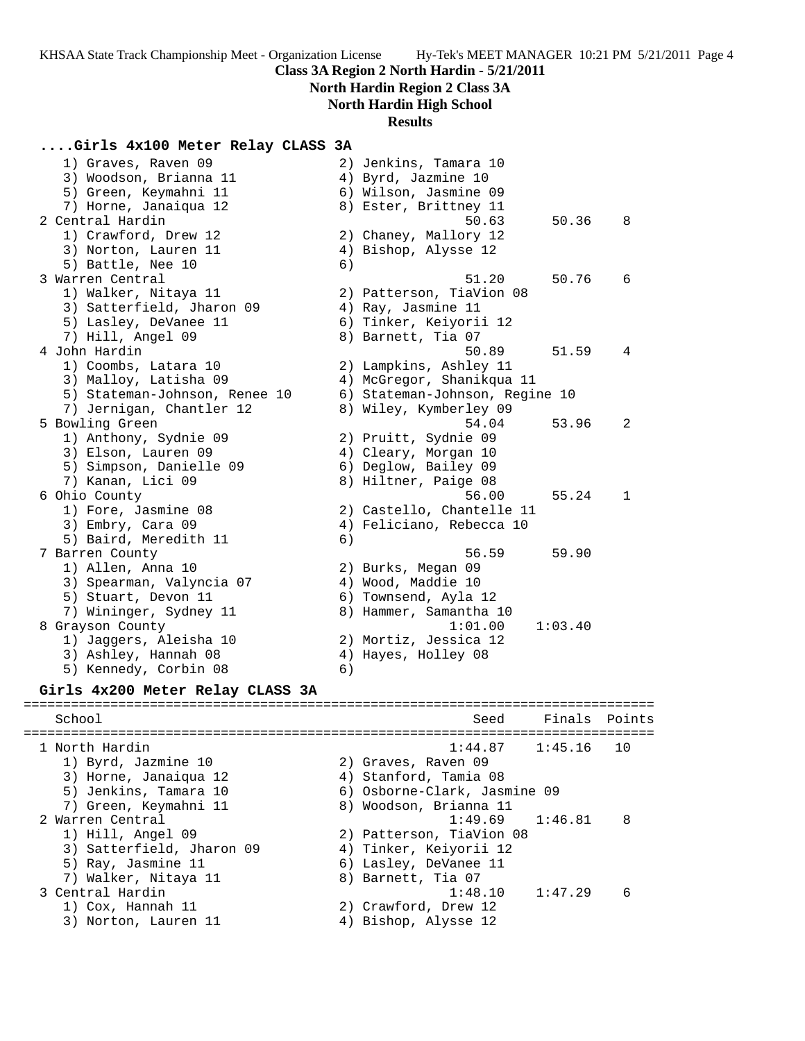## **North Hardin Region 2 Class 3A**

## **North Hardin High School**

#### **Results**

## **....Girls 4x100 Meter Relay CLASS 3A**

| 1) Graves, Raven 09<br>3) Woodson, Brianna 11<br>5) Green, Keymahni 11 |    | 2) Jenkins, Tamara 10<br>4) Byrd, Jazmine 10<br>6) Wilson, Jasmine 09 |         |        |
|------------------------------------------------------------------------|----|-----------------------------------------------------------------------|---------|--------|
| 7) Horne, Janaiqua 12                                                  |    | 8) Ester, Brittney 11                                                 |         |        |
| 2 Central Hardin                                                       |    | 50.63                                                                 | 50.36   | 8      |
| 1) Crawford, Drew 12                                                   |    | 2) Chaney, Mallory 12                                                 |         |        |
| 3) Norton, Lauren 11                                                   |    | 4) Bishop, Alysse 12                                                  |         |        |
| 5) Battle, Nee 10                                                      | 6) |                                                                       |         |        |
| 3 Warren Central                                                       |    | 51.20                                                                 | 50.76   | 6      |
| 1) Walker, Nitaya 11                                                   |    | 2) Patterson, TiaVion 08                                              |         |        |
| 3) Satterfield, Jharon 09                                              |    | 4) Ray, Jasmine 11                                                    |         |        |
| 5) Lasley, DeVanee 11                                                  |    | 6) Tinker, Keiyorii 12                                                |         |        |
| 7) Hill, Angel 09                                                      |    | 8) Barnett, Tia 07                                                    |         |        |
| 4 John Hardin                                                          |    | 50.89                                                                 | 51.59   | 4      |
| 1) Coombs, Latara 10                                                   |    | 2) Lampkins, Ashley 11                                                |         |        |
| 3) Malloy, Latisha 09                                                  |    | 4) McGregor, Shanikqua 11                                             |         |        |
| 5) Stateman-Johnson, Renee 10                                          |    | 6) Stateman-Johnson, Regine 10                                        |         |        |
| 7) Jernigan, Chantler 12                                               |    | 8) Wiley, Kymberley 09                                                |         |        |
| 5 Bowling Green                                                        |    | 54.04                                                                 | 53.96   | 2      |
| 1) Anthony, Sydnie 09                                                  |    | 2) Pruitt, Sydnie 09                                                  |         |        |
| 3) Elson, Lauren 09                                                    |    | 4) Cleary, Morgan 10                                                  |         |        |
| 5) Simpson, Danielle 09                                                |    | 6) Deglow, Bailey 09                                                  |         |        |
| 7) Kanan, Lici 09                                                      |    | 8) Hiltner, Paige 08                                                  |         |        |
| 6 Ohio County                                                          |    | 56.00                                                                 | 55.24   | 1      |
| 1) Fore, Jasmine 08                                                    |    | 2) Castello, Chantelle 11                                             |         |        |
| 3) Embry, Cara 09                                                      |    | 4) Feliciano, Rebecca 10                                              |         |        |
| 5) Baird, Meredith 11                                                  | 6) |                                                                       |         |        |
| 7 Barren County                                                        |    | 56.59                                                                 | 59.90   |        |
| 1) Allen, Anna 10                                                      |    | 2) Burks, Megan 09                                                    |         |        |
| 3) Spearman, Valyncia 07                                               |    | 4) Wood, Maddie 10                                                    |         |        |
| 5) Stuart, Devon 11                                                    |    | 6) Townsend, Ayla 12                                                  |         |        |
| 7) Wininger, Sydney 11                                                 |    | 8) Hammer, Samantha 10                                                |         |        |
| 8 Grayson County                                                       |    | 1:01.00                                                               | 1:03.40 |        |
| 1) Jaggers, Aleisha 10                                                 |    | 2) Mortiz, Jessica 12                                                 |         |        |
| 3) Ashley, Hannah 08                                                   |    | 4) Hayes, Holley 08                                                   |         |        |
| 5) Kennedy, Corbin 08                                                  | 6) |                                                                       |         |        |
| Girls 4x200 Meter Relay CLASS 3A                                       |    |                                                                       |         |        |
| School                                                                 |    | Seed                                                                  | Finals  | Points |
| 1 North Hardin                                                         |    | 1:44.87                                                               | 1:45.16 | 10     |
| 1) Byrd, Jazmine 10                                                    |    | 2) Graves, Raven 09                                                   |         |        |
| 3) Horne, Janaiqua 12                                                  |    | 4) Stanford, Tamia 08                                                 |         |        |
| 5) Jenkins, Tamara 10                                                  |    | 6) Osborne-Clark, Jasmine 09                                          |         |        |
| 7) Green, Keymahni 11                                                  |    | 8) Woodson, Brianna 11                                                |         |        |
| 2 Warren Central                                                       |    | 1:49.69                                                               | 1:46.81 | 8      |
| 1) Hill, Angel 09                                                      |    | 2) Patterson, TiaVion 08                                              |         |        |
|                                                                        |    |                                                                       |         |        |

- 3) Satterfield, Jharon 09 4) Tinker, Keiyorii 12 5) Ray, Jasmine 11 6) Lasley, DeVanee 11
- 7) Walker, Nitaya 11  $\hskip10mm 8$ ) Barnett, Tia 07
- 3 Central Hardin 1:48.10 1:47.29 6
- 1) Cox, Hannah 11 2) Crawford, Drew 12
- 3) Norton, Lauren 11 4) Bishop, Alysse 12
- -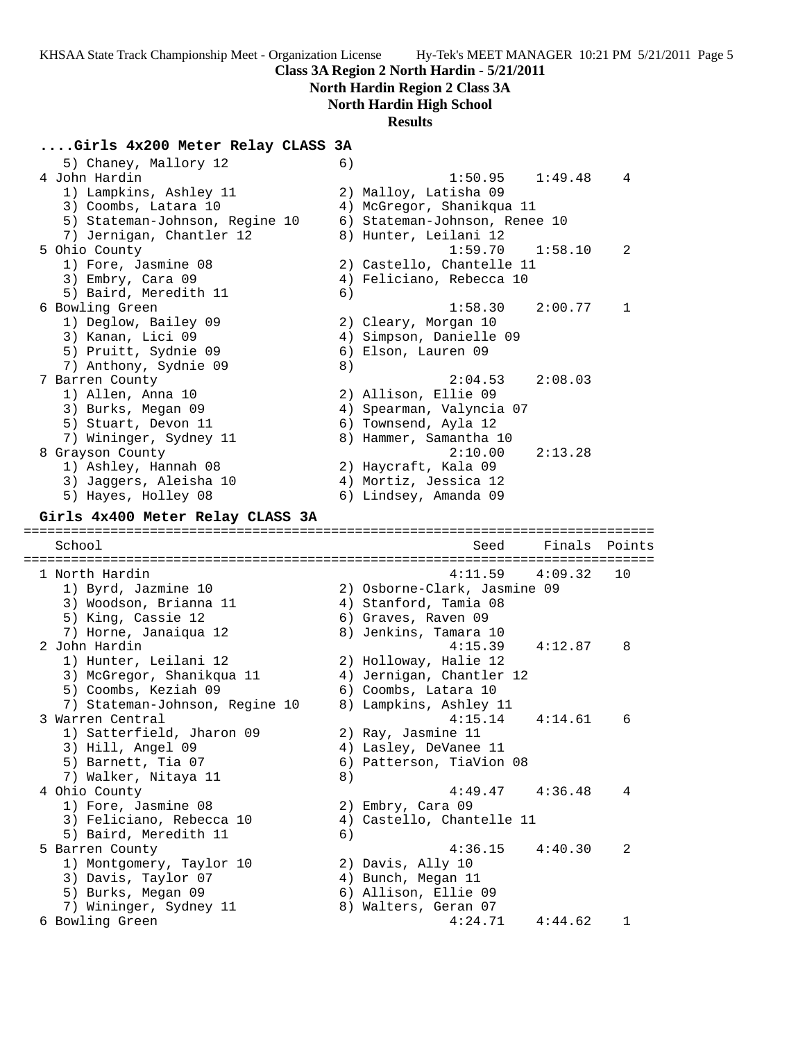#### **Class 3A Region 2 North Hardin - 5/21/2011**

## **North Hardin Region 2 Class 3A**

## **North Hardin High School**

#### **Results**

#### **....Girls 4x200 Meter Relay CLASS 3A**

5) Chaney, Mallory 12 6) 4 John Hardin 1:50.95 1:49.48 4 1) Lampkins, Ashley 11 2) Malloy, Latisha 09 3) Coombs, Latara 10 4) McGregor, Shanikqua 11 5) Stateman-Johnson, Regine 10 6) Stateman-Johnson, Renee 10 7) Jernigan, Chantler 12 8) Hunter, Leilani 12 5 Ohio County 1:59.70 1:58.10 2 1) Fore, Jasmine 08 2) Castello, Chantelle 11 3) Embry, Cara 09 4) Feliciano, Rebecca 10 5) Baird, Meredith 11 (6) 6 Bowling Green 1:58.30 2:00.77 1 1) Deglow, Bailey 09 2) Cleary, Morgan 10 3) Kanan, Lici 09 4) Simpson, Danielle 09 5) Pruitt, Sydnie 09 6) Elson, Lauren 09 7) Anthony, Sydnie 09 8) 7 Barren County 2:04.53 2:08.03 1) Allen, Anna 10 2) Allison, Ellie 09 3) Burks, Megan 09 4) Spearman, Valyncia 07 5) Stuart, Devon 11 6) Townsend, Ayla 12 7) Wininger, Sydney 11 8) Hammer, Samantha 10 8 Grayson County 2:10.00 2:13.28 1) Ashley, Hannah 08 2) Haycraft, Kala 09 3) Jaggers, Aleisha 10 4) Mortiz, Jessica 12 5) Hayes, Holley 08 6) Lindsey, Amanda 09 **Girls 4x400 Meter Relay CLASS 3A** ================================================================================ School School School Seed Finals Points Seed Finals Points Seed Finals Points ================================================================================ 1 North Hardin 4:11.59 4:09.32 10 1) Byrd, Jazmine 10 2) Osborne-Clark, Jasmine 09 3) Woodson, Brianna 11 4) Stanford, Tamia 08 5) King, Cassie 12 6) Graves, Raven 09 7) Horne, Janaiqua 12 8) Jenkins, Tamara 10 2 John Hardin 4:15.39 4:12.87 8 1) Hunter, Leilani 12 2) Holloway, Halie 12 3) McGregor, Shanikqua 11 4) Jernigan, Chantler 12 5) Coombs, Keziah 09 6) Coombs, Latara 10 7) Stateman-Johnson, Regine 10 8) Lampkins, Ashley 11 3 Warren Central 4:15.14 4:14.61 6 1) Satterfield, Jharon 09 2) Ray, Jasmine 11 3) Hill, Angel 09 4) Lasley, DeVanee 11 5) Barnett, Tia 07 (6) Patterson, TiaVion 08 7) Walker, Nitaya 11 8) 4 Ohio County 4:49.47 4:36.48 4 1) Fore, Jasmine 08 2) Embry, Cara 09 3) Feliciano, Rebecca 10 4) Castello, Chantelle 11 5) Baird, Meredith 11 (6) 5 Barren County 4:36.15 4:40.30 2 1) Montgomery, Taylor 10 2) Davis, Ally 10 3) Davis, Taylor 07 (4) Bunch, Megan 11 5) Burks, Megan 09 6) Allison, Ellie 09 7) Wininger, Sydney 11  $\hphantom{\text{2.65}$  8) Walters, Geran 07 6 Bowling Green 4:24.71 4:44.62 1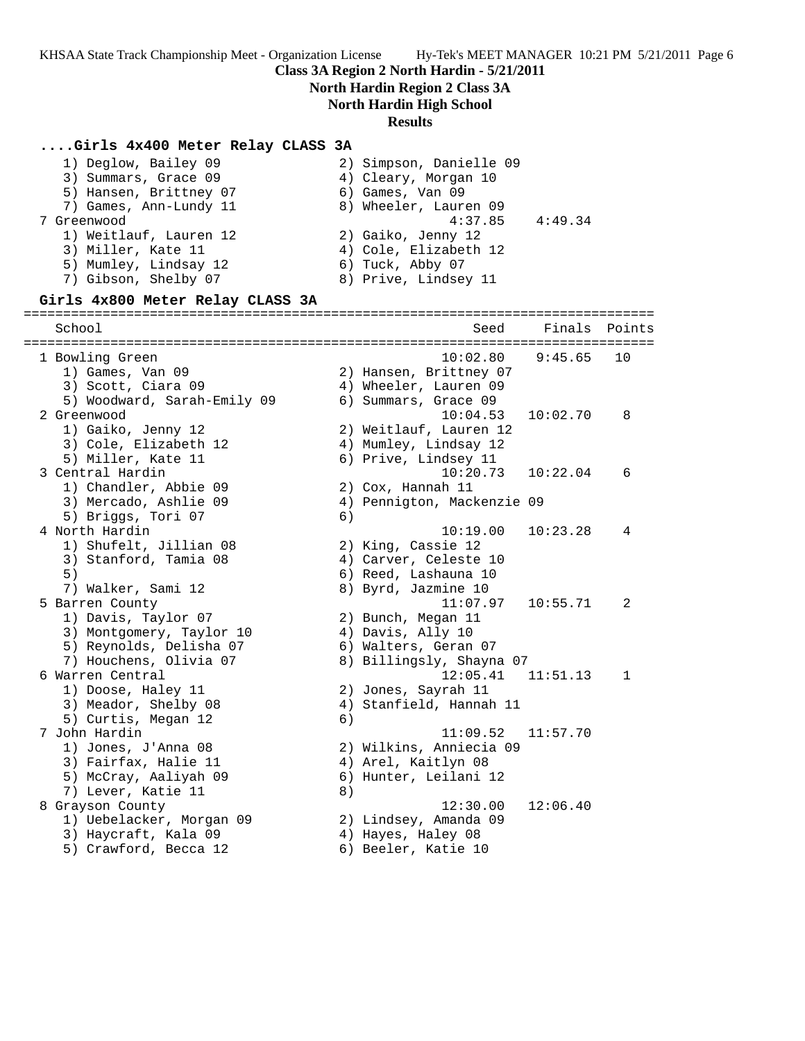7 Greenwood 4:37.85 4:49.34

## **Class 3A Region 2 North Hardin - 5/21/2011**

2) Simpson, Danielle 09 4) Cleary, Morgan 10 6) Games, Van 09

# **North Hardin Region 2 Class 3A**

**North Hardin High School**

#### **Results**

## **....Girls 4x400 Meter Relay CLASS 3A**

|  | 1) Deglow, Bailey 09                        | 2) Simpson, Danielle O           |
|--|---------------------------------------------|----------------------------------|
|  | 3) Summars, Grace 09                        | 4) Cleary, Morgan 10             |
|  | 5) Hansen, Brittney 07                      | 6) Games, Van 09                 |
|  | 7) Games, Ann-Lundy 11                      | 8) Wheeler, Lauren 09            |
|  | 7 Greenwood                                 | 4:37.85                          |
|  | 1) Weitlauf, Lauren 12                      | 2) Gaiko, Jenny 12               |
|  | 3) Miller, Kate 11                          | 4) Cole, Elizabeth 12            |
|  | $\Gamma$ \ Messeless $\Gamma$ is decoded 10 | $\zeta$ m. i.e. $\eta$ is $\eta$ |

- 
- 4) Cole, Elizabeth 12<br>6) Tuck, Abby 07 5) Mumley, Lindsay 12 6) Tuck, Abby 07
- 7) Gibson, Shelby 07 8) Prive, Lindsey 11

#### **Girls 4x800 Meter Relay CLASS 3A**

#### ================================================================================

| School                      |    | Seed                       | Finals   | Points       |
|-----------------------------|----|----------------------------|----------|--------------|
| 1 Bowling Green             |    | 10:02.80                   | 9:45.65  | 10           |
| 1) Games, Van 09            |    | 2) Hansen, Brittney 07     |          |              |
| 3) Scott, Ciara 09          |    | 4) Wheeler, Lauren 09      |          |              |
| 5) Woodward, Sarah-Emily 09 |    | 6) Summars, Grace 09       |          |              |
| 2 Greenwood                 |    | 10:04.53                   | 10:02.70 | 8            |
| 1) Gaiko, Jenny 12          |    | 2) Weitlauf, Lauren 12     |          |              |
| 3) Cole, Elizabeth 12       |    | 4) Mumley, Lindsay 12      |          |              |
| 5) Miller, Kate 11          |    | 6) Prive, Lindsey 11       |          |              |
| 3 Central Hardin            |    | 10:20.73                   | 10:22.04 | 6            |
| 1) Chandler, Abbie 09       |    | 2) Cox, Hannah 11          |          |              |
| 3) Mercado, Ashlie 09       |    | 4) Pennigton, Mackenzie 09 |          |              |
| 5) Briggs, Tori 07          | 6) |                            |          |              |
| 4 North Hardin              |    | 10:19.00                   | 10:23.28 | 4            |
| 1) Shufelt, Jillian 08      |    | 2) King, Cassie 12         |          |              |
| 3) Stanford, Tamia 08       |    | 4) Carver, Celeste 10      |          |              |
| 5)                          |    | 6) Reed, Lashauna 10       |          |              |
| 7) Walker, Sami 12          |    | 8) Byrd, Jazmine 10        |          |              |
| 5 Barren County             |    | 11:07.97                   | 10:55.71 | 2            |
| 1) Davis, Taylor 07         |    | 2) Bunch, Megan 11         |          |              |
| 3) Montgomery, Taylor 10    |    | 4) Davis, Ally 10          |          |              |
| 5) Reynolds, Delisha 07     |    | 6) Walters, Geran 07       |          |              |
| 7) Houchens, Olivia 07      |    | 8) Billingsly, Shayna 07   |          |              |
| 6 Warren Central            |    | 12:05.41                   | 11:51.13 | $\mathbf{1}$ |
| 1) Doose, Haley 11          |    | 2) Jones, Sayrah 11        |          |              |
| 3) Meador, Shelby 08        |    | 4) Stanfield, Hannah 11    |          |              |
| 5) Curtis, Megan 12         | 6) |                            |          |              |
| 7 John Hardin               |    | 11:09.52                   | 11:57.70 |              |
| 1) Jones, J'Anna 08         |    | 2) Wilkins, Anniecia 09    |          |              |
| 3) Fairfax, Halie 11        |    | 4) Arel, Kaitlyn 08        |          |              |
| 5) McCray, Aaliyah 09       |    | 6) Hunter, Leilani 12      |          |              |
| 7) Lever, Katie 11          | 8) |                            |          |              |
| 8 Grayson County            |    | 12:30.00                   | 12:06.40 |              |
| 1) Uebelacker, Morgan 09    |    | 2) Lindsey, Amanda 09      |          |              |
| 3) Haycraft, Kala 09        |    | 4) Hayes, Haley 08         |          |              |
| 5) Crawford, Becca 12       |    | 6) Beeler, Katie 10        |          |              |
|                             |    |                            |          |              |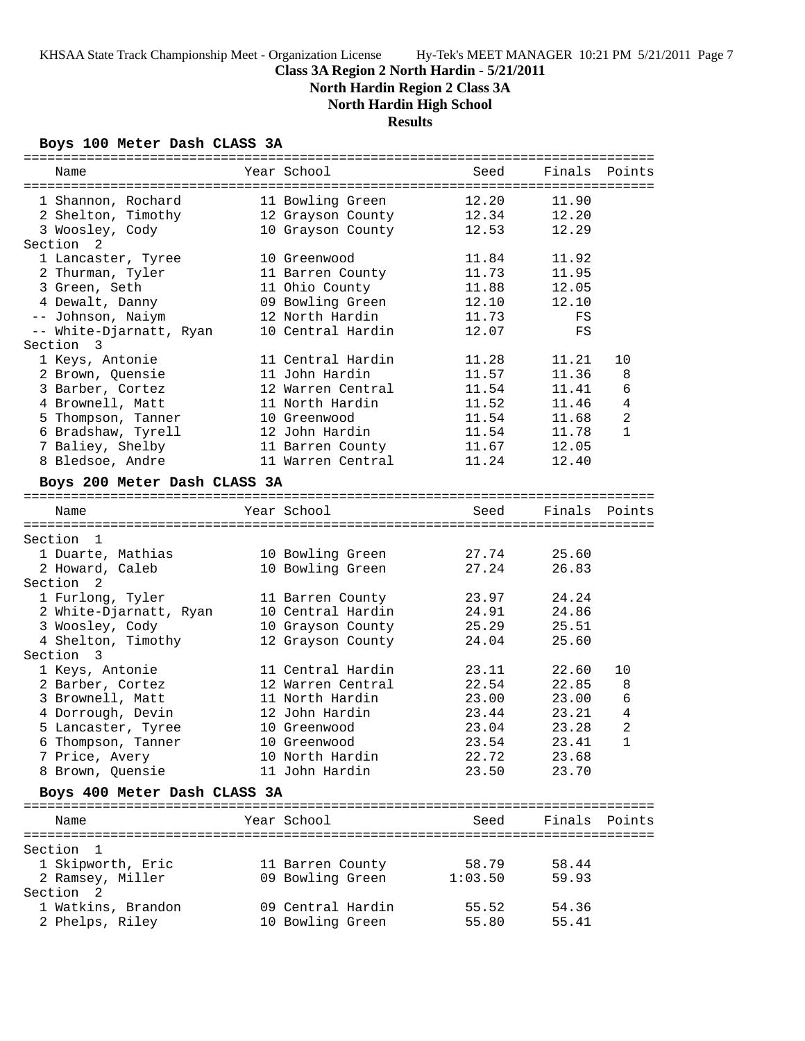**North Hardin Region 2 Class 3A**

**North Hardin High School**

# **Results**

## **Boys 100 Meter Dash CLASS 3A**

| Name                                 | Year School              | Seed        | Finals         | Points         |
|--------------------------------------|--------------------------|-------------|----------------|----------------|
|                                      |                          |             |                |                |
| 1 Shannon, Rochard                   | 11 Bowling Green         | 12.20       | 11.90          |                |
| 2 Shelton, Timothy                   | 12 Grayson County        | 12.34       | 12.20          |                |
| 3 Woosley, Cody                      | 10 Grayson County        | 12.53       | 12.29          |                |
| Section<br>2                         |                          |             |                |                |
| 1 Lancaster, Tyree                   | 10 Greenwood             | 11.84       | 11.92          |                |
| 2 Thurman, Tyler                     | 11 Barren County         | 11.73       | 11.95          |                |
| 3 Green, Seth                        | 11 Ohio County           | 11.88       | 12.05          |                |
| 4 Dewalt, Danny                      | 09 Bowling Green         | 12.10       | 12.10          |                |
| -- Johnson, Naiym                    | 12 North Hardin          | 11.73       | FS             |                |
| -- White-Djarnatt, Ryan              | 10 Central Hardin        | 12.07       | FS             |                |
| Section<br>- 3                       |                          |             |                |                |
| 1 Keys, Antonie                      | 11 Central Hardin        | 11.28       | 11.21          | 10             |
| 2 Brown, Quensie                     | 11 John Hardin           | 11.57       | 11.36          | 8              |
| 3 Barber, Cortez                     | 12 Warren Central        | 11.54       | 11.41          | 6              |
| 4 Brownell, Matt                     | 11 North Hardin          | 11.52       | 11.46          | $\overline{4}$ |
| 5 Thompson, Tanner                   | 10 Greenwood             | 11.54       | 11.68          | $\overline{2}$ |
| 6 Bradshaw, Tyrell                   | 12 John Hardin           | 11.54       | 11.78          | $\mathbf{1}$   |
| 7 Baliey, Shelby                     | 11 Barren County         | 11.67       | 12.05          |                |
| 8 Bledsoe, Andre                     | 11 Warren Central        | 11.24       | 12.40          |                |
|                                      |                          |             |                |                |
| Boys 200 Meter Dash CLASS 3A         |                          |             |                |                |
|                                      | Year School              | Seed        | Finals         | Points         |
| Name                                 |                          |             |                |                |
| Section<br>$\mathbf{1}$              |                          |             |                |                |
| 1 Duarte, Mathias                    | 10 Bowling Green         | 27.74       | 25.60          |                |
| 2 Howard, Caleb                      | 10 Bowling Green         | 27.24       | 26.83          |                |
| Section<br>$\overline{2}$            |                          |             |                |                |
| 1 Furlong, Tyler                     | 11 Barren County         | 23.97       | 24.24          |                |
| 2 White-Djarnatt, Ryan               | 10 Central Hardin        | 24.91       | 24.86          |                |
| 3 Woosley, Cody                      | 10 Grayson County        | 25.29       | 25.51          |                |
| 4 Shelton, Timothy                   | 12 Grayson County        | 24.04       | 25.60          |                |
| Section 3                            |                          |             |                |                |
|                                      | 11 Central Hardin        | 23.11       | 22.60          | 10             |
| 1 Keys, Antonie                      | 12 Warren Central        | 22.54       |                | 8              |
| 2 Barber, Cortez<br>3 Brownell, Matt | 11 North Hardin          |             | 22.85          | 6              |
| 4 Dorrough, Devin                    | 12 John Hardin           | 23.00       | 23.00<br>23.21 | $\overline{4}$ |
|                                      |                          | 23.44       |                |                |
| 5 Lancaster, Tyree                   | 10 Greenwood             | 23.04       | 23.28          | 2              |
| 6 Thompson, Tanner                   | 10 Greenwood             | 23.54       | 23.41          | $\mathbf{1}$   |
| 7 Price, Avery                       | 10 North Hardin          | 22.72       | 23.68          |                |
| 8 Brown, Quensie                     | 11 John Hardin           | 23.50 23.70 |                |                |
| Boys 400 Meter Dash CLASS 3A         |                          |             |                |                |
|                                      |                          |             |                |                |
| Name                                 | Year School              | Seed        | Finals Points  |                |
|                                      |                          |             |                |                |
| Section 1                            |                          |             |                |                |
| 1 Skipworth, Eric                    | 11 Barren County         | 58.79       | 58.44          |                |
| 2 Ramsey, Miller                     | 09 Bowling Green 1:03.50 |             | 59.93          |                |
| Section 2                            |                          |             |                |                |
| 1 Watkins, Brandon                   | 09 Central Hardin        | 55.52       | 54.36          |                |
| 2 Phelps, Riley                      | 10 Bowling Green         | 55.80       | 55.41          |                |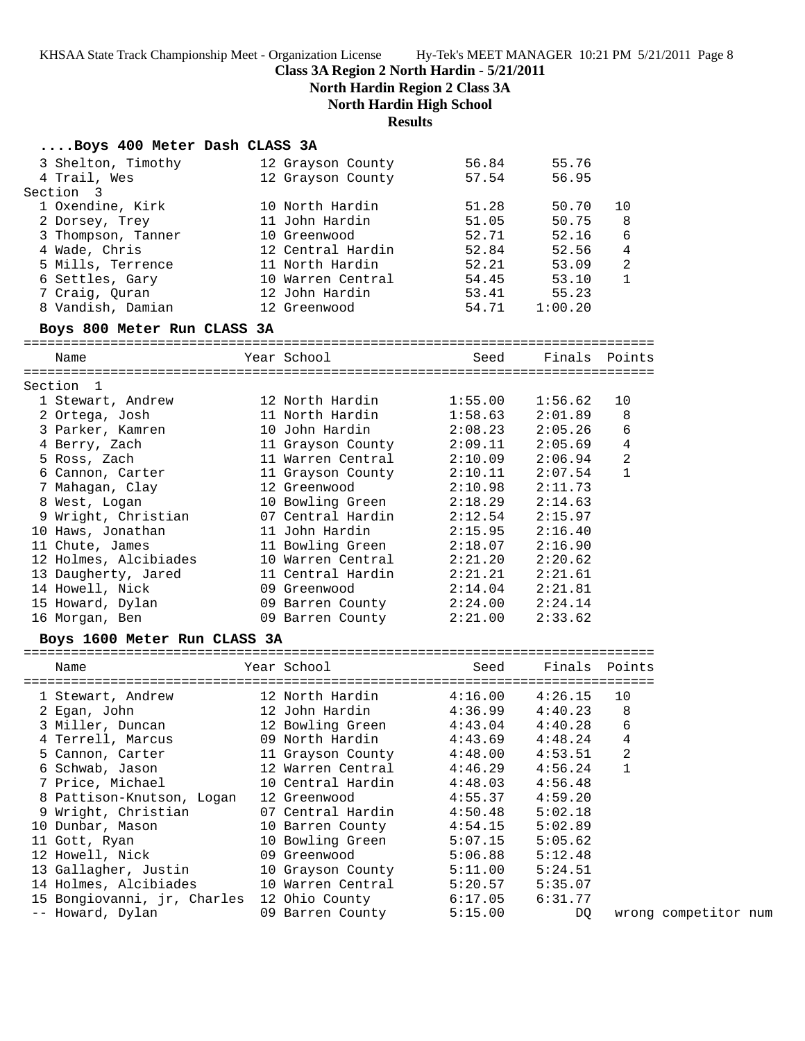# **Class 3A Region 2 North Hardin - 5/21/2011**

**North Hardin Region 2 Class 3A North Hardin High School**

**Results**

| Boys 400 Meter Dash CLASS 3A |  |  |  |  |
|------------------------------|--|--|--|--|
|------------------------------|--|--|--|--|

| 3 Shelton, Timothy           | 12 Grayson County | 56.84   | 55.76   |                |
|------------------------------|-------------------|---------|---------|----------------|
| 4 Trail, Wes                 | 12 Grayson County | 57.54   | 56.95   |                |
| Section 3                    |                   |         |         |                |
| 1 Oxendine, Kirk             | 10 North Hardin   | 51.28   | 50.70   | 10             |
| 2 Dorsey, Trey               | 11 John Hardin    | 51.05   | 50.75   | 8              |
| 3 Thompson, Tanner           | 10 Greenwood      | 52.71   | 52.16   | 6              |
| 4 Wade, Chris                | 12 Central Hardin | 52.84   | 52.56   | $\overline{4}$ |
| 5 Mills, Terrence            | 11 North Hardin   | 52.21   | 53.09   | $\overline{a}$ |
| 6 Settles, Gary              | 10 Warren Central | 54.45   | 53.10   | $\mathbf{1}$   |
| 7 Craig, Quran               | 12 John Hardin    | 53.41   | 55.23   |                |
| 8 Vandish, Damian            | 12 Greenwood      | 54.71   | 1:00.20 |                |
| Boys 800 Meter Run CLASS 3A  |                   |         |         |                |
| Name                         | Year School       | Seed    | Finals  | Points         |
|                              |                   |         |         |                |
| Section 1                    |                   |         |         |                |
| 1 Stewart, Andrew            | 12 North Hardin   | 1:55.00 | 1:56.62 | 10             |
| 2 Ortega, Josh               | 11 North Hardin   | 1:58.63 | 2:01.89 | 8              |
| 3 Parker, Kamren             | 10 John Hardin    | 2:08.23 | 2:05.26 | 6              |
| 4 Berry, Zach                | 11 Grayson County | 2:09.11 | 2:05.69 | 4              |
| 5 Ross, Zach                 | 11 Warren Central | 2:10.09 | 2:06.94 | $\overline{a}$ |
| 6 Cannon, Carter             | 11 Grayson County | 2:10.11 | 2:07.54 | $\mathbf{1}$   |
| 7 Mahagan, Clay              | 12 Greenwood      | 2:10.98 | 2:11.73 |                |
| 8 West, Logan                | 10 Bowling Green  | 2:18.29 | 2:14.63 |                |
| 9 Wright, Christian          | 07 Central Hardin | 2:12.54 | 2:15.97 |                |
| 10 Haws, Jonathan            | 11 John Hardin    | 2:15.95 | 2:16.40 |                |
| 11 Chute, James              | 11 Bowling Green  | 2:18.07 | 2:16.90 |                |
| 12 Holmes, Alcibiades        | 10 Warren Central | 2:21.20 | 2:20.62 |                |
| 13 Daugherty, Jared          | 11 Central Hardin | 2:21.21 | 2:21.61 |                |
| 14 Howell, Nick              | 09 Greenwood      | 2:14.04 | 2:21.81 |                |
| 15 Howard, Dylan             | 09 Barren County  | 2:24.00 | 2:24.14 |                |
| 16 Morgan, Ben               | 09 Barren County  | 2:21.00 | 2:33.62 |                |
|                              |                   |         |         |                |
| Boys 1600 Meter Run CLASS 3A |                   |         |         |                |
| Name                         | Year School       | Seed    | Finals  | Points         |
| 1 Stewart, Andrew            | 12 North Hardin   | 4:16.00 | 4:26.15 | 10             |
| 2 Egan, John                 | 12 John Hardin    | 4:36.99 | 4:40.23 | 8              |
| 3 Miller, Duncan             | 12 Bowling Green  | 4:43.04 | 4:40.28 | 6              |
| 4 Terrell, Marcus            | 09 North Hardin   | 4:43.69 | 4:48.24 | 4              |
|                              |                   |         |         |                |
| 5 Cannon, Carter             | 11 Grayson County | 4:48.00 | 4:53.51 | 2              |
| 6 Schwab, Jason              | 12 Warren Central | 4:46.29 | 4:56.24 | 1              |
| 7 Price, Michael             | 10 Central Hardin | 4:48.03 | 4:56.48 |                |
| 8 Pattison-Knutson, Logan    | 12 Greenwood      | 4:55.37 | 4:59.20 |                |
| 9 Wright, Christian          | 07 Central Hardin | 4:50.48 | 5:02.18 |                |
| 10 Dunbar, Mason             | 10 Barren County  | 4:54.15 | 5:02.89 |                |
| 11 Gott, Ryan                | 10 Bowling Green  | 5:07.15 | 5:05.62 |                |
| 12 Howell, Nick              | 09 Greenwood      | 5:06.88 | 5:12.48 |                |
| 13 Gallagher, Justin         | 10 Grayson County | 5:11.00 | 5:24.51 |                |
| 14 Holmes, Alcibiades        | 10 Warren Central | 5:20.57 | 5:35.07 |                |
| 15 Bongiovanni, jr, Charles  | 12 Ohio County    | 6:17.05 | 6:31.77 |                |

-- Howard, Dylan 09 Barren County 5:15.00 DQ wrong competitor num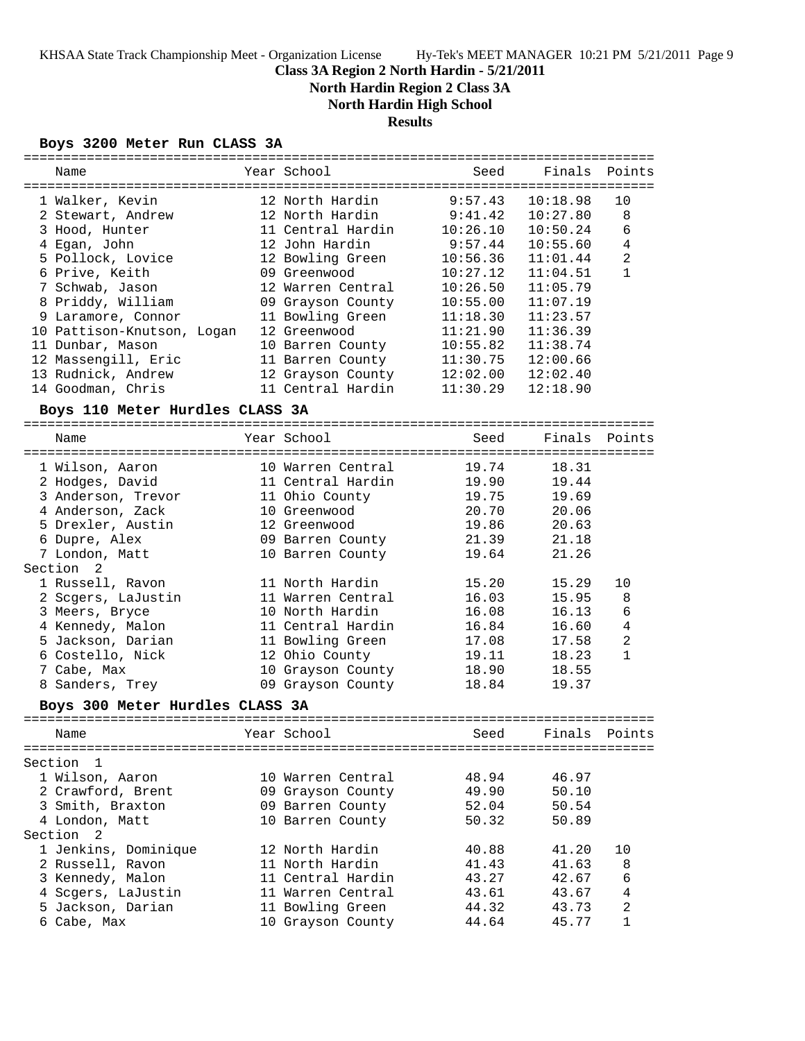# **Class 3A Region 2 North Hardin - 5/21/2011**

**North Hardin Region 2 Class 3A**

**North Hardin High School**

# **Results**

## **Boys 3200 Meter Run CLASS 3A**

| ===========                     |                   |          |          |                |
|---------------------------------|-------------------|----------|----------|----------------|
| Name                            | Year School       | Seed     | Finals   | Points         |
|                                 |                   |          |          |                |
| 1 Walker, Kevin                 | 12 North Hardin   | 9:57.43  | 10:18.98 | 10             |
| 2 Stewart, Andrew               | 12 North Hardin   | 9:41.42  | 10:27.80 | 8              |
| 3 Hood, Hunter                  | 11 Central Hardin | 10:26.10 | 10:50.24 | 6              |
| 4 Egan, John                    | 12 John Hardin    | 9:57.44  | 10:55.60 | $\overline{4}$ |
| 5 Pollock, Lovice               | 12 Bowling Green  | 10:56.36 | 11:01.44 | 2              |
| 6 Prive, Keith                  | 09 Greenwood      | 10:27.12 | 11:04.51 | $\mathbf{1}$   |
| 7 Schwab, Jason                 | 12 Warren Central | 10:26.50 | 11:05.79 |                |
|                                 |                   |          | 11:07.19 |                |
| 8 Priddy, William               | 09 Grayson County | 10:55.00 |          |                |
| 9 Laramore, Connor              | 11 Bowling Green  | 11:18.30 | 11:23.57 |                |
| 10 Pattison-Knutson, Logan      | 12 Greenwood      | 11:21.90 | 11:36.39 |                |
| 11 Dunbar, Mason                | 10 Barren County  | 10:55.82 | 11:38.74 |                |
| 12 Massengill, Eric             | 11 Barren County  | 11:30.75 | 12:00.66 |                |
| 13 Rudnick, Andrew              | 12 Grayson County | 12:02.00 | 12:02.40 |                |
| 14 Goodman, Chris               | 11 Central Hardin | 11:30.29 | 12:18.90 |                |
| Boys 110 Meter Hurdles CLASS 3A |                   |          |          |                |
| Name                            | Year School       | Seed     | Finals   | Points         |
|                                 |                   |          |          |                |
| 1 Wilson, Aaron                 | 10 Warren Central | 19.74    | 18.31    |                |
| 2 Hodges, David                 | 11 Central Hardin | 19.90    | 19.44    |                |
| 3 Anderson, Trevor              | 11 Ohio County    | 19.75    | 19.69    |                |
| 4 Anderson, Zack                | 10 Greenwood      | 20.70    | 20.06    |                |
| 5 Drexler, Austin               | 12 Greenwood      | 19.86    | 20.63    |                |
| 6 Dupre, Alex                   | 09 Barren County  | 21.39    | 21.18    |                |
|                                 |                   | 19.64    | 21.26    |                |
| 7 London, Matt<br>Section<br>-2 | 10 Barren County  |          |          |                |
| 1 Russell, Ravon                | 11 North Hardin   | 15.20    | 15.29    | 10             |
| 2 Scgers, LaJustin              | 11 Warren Central | 16.03    | 15.95    | 8              |
| 3 Meers, Bryce                  | 10 North Hardin   | 16.08    | 16.13    | 6              |
|                                 |                   |          |          |                |
| 4 Kennedy, Malon                | 11 Central Hardin | 16.84    | 16.60    | $\bf 4$        |
| 5 Jackson, Darian               | 11 Bowling Green  | 17.08    | 17.58    | 2              |
| 6 Costello, Nick                | 12 Ohio County    | 19.11    | 18.23    | $\mathbf{1}$   |
| 7 Cabe, Max                     | 10 Grayson County | 18.90    | 18.55    |                |
| 8 Sanders, Trey                 | 09 Grayson County | 18.84    | 19.37    |                |
| Boys 300 Meter Hurdles CLASS 3A |                   |          |          |                |
| Name                            | Year School       | Seed     | Finals   | Points         |
|                                 |                   |          |          |                |
| Section<br>1                    |                   |          |          |                |
| 1 Wilson, Aaron                 | 10 Warren Central | 48.94    | 46.97    |                |
| 2 Crawford, Brent               | 09 Grayson County | 49.90    | 50.10    |                |
| 3 Smith, Braxton                | 09 Barren County  | 52.04    | 50.54    |                |
| 4 London, Matt                  | 10 Barren County  | 50.32    | 50.89    |                |
| Section 2                       |                   |          |          |                |
| 1 Jenkins, Dominique            | 12 North Hardin   | 40.88    | 41.20    | 10             |
| 2 Russell, Ravon                | 11 North Hardin   | 41.43    | 41.63    | 8              |
| 3 Kennedy, Malon                | 11 Central Hardin | 43.27    | 42.67    | 6              |
| 4 Scgers, LaJustin              | 11 Warren Central | 43.61    | 43.67    | $\overline{4}$ |
|                                 |                   |          |          |                |
| 5 Jackson, Darian               | 11 Bowling Green  | 44.32    | 43.73    | $\overline{c}$ |
| 6 Cabe, Max                     | 10 Grayson County | 44.64    | 45.77    | $\mathbf{1}$   |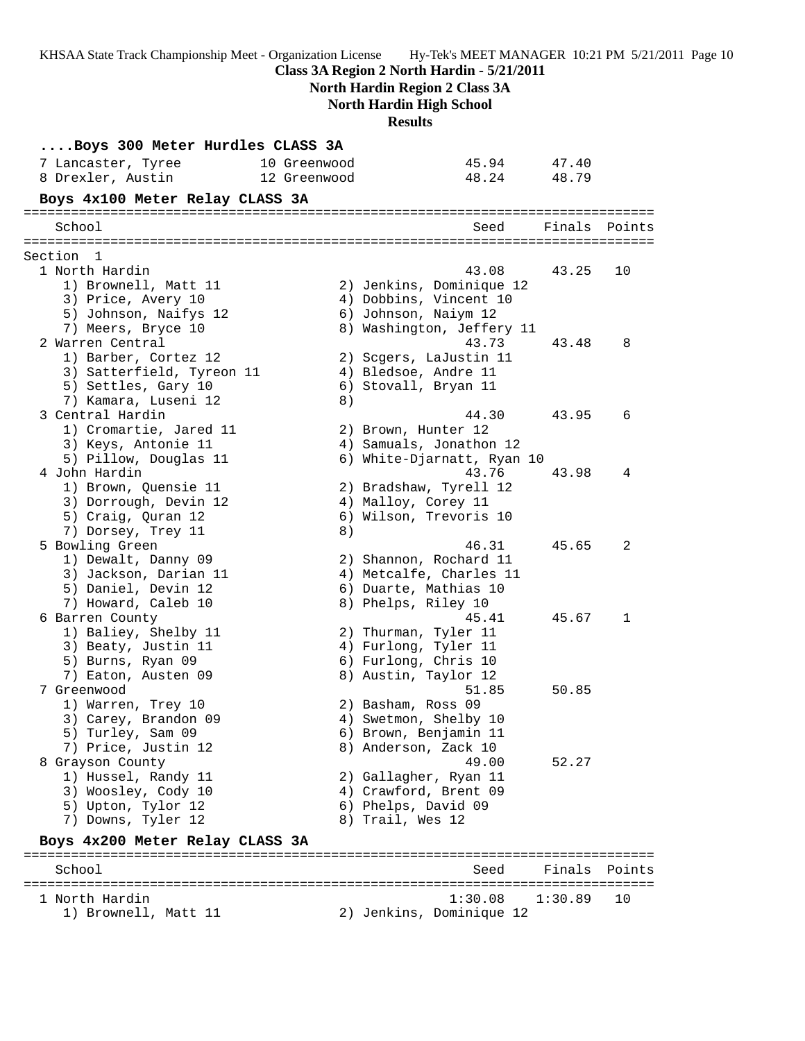KHSAA State Track Championship Meet - Organization License Hy-Tek's MEET MANAGER 10:21 PM 5/21/2011 Page 10 **Class 3A Region 2 North Hardin - 5/21/2011 North Hardin Region 2 Class 3A North Hardin High School Results ....Boys 300 Meter Hurdles CLASS 3A** 7 Lancaster, Tyree 10 Greenwood 45.94 47.40 8 Drexler, Austin 12 Greenwood 48.24 48.79 **Boys 4x100 Meter Relay CLASS 3A** ================================================================================ Seed Finals Points ================================================================================ Section 1 1 North Hardin 43.08 43.25 10 1) Brownell, Matt 11 2) Jenkins, Dominique 12 3) Price, Avery 10 4) Dobbins, Vincent 10 5) Johnson, Naifys 12 6) Johnson, Naiym 12 7) Meers, Bryce 10 8) Washington, Jeffery 11 2 Warren Central 43.73 43.48 8 1) Barber, Cortez 12 2) Scgers, LaJustin 11 3) Satterfield, Tyreon 11 (4) Bledsoe, Andre 11 5) Settles, Gary 10 (6) Stovall, Bryan 11 7) Kamara, Luseni 12 and 8) 3 Central Hardin 44.30 43.95 6 1) Cromartie, Jared 11 and 2) Brown, Hunter 12 3) Keys, Antonie 11 4) Samuals, Jonathon 12 5) Pillow, Douglas 11 6) White-Djarnatt, Ryan 10 4 John Hardin 43.76 43.98 4 1) Brown, Quensie 11 2) Bradshaw, Tyrell 12 3) Dorrough, Devin 12 (4) Malloy, Corey 11 5) Craig, Quran 12 6) Wilson, Trevoris 10 7) Dorsey, Trey 11 8) 5 Bowling Green 46.31 45.65 2 1) Dewalt, Danny 09 2) Shannon, Rochard 11 3) Jackson, Darian 11 4) Metcalfe, Charles 11 5) Daniel, Devin 12 6) Duarte, Mathias 10 7) Howard, Caleb 10 8) Phelps, Riley 10 6 Barren County 45.41 45.67 1 1) Baliey, Shelby 11 2) Thurman, Tyler 11 3) Beaty, Justin 11 (4) Furlong, Tyler 11 5) Burns, Ryan 09 6) Furlong, Chris 10 7) Eaton, Austen 09 8) Austin, Taylor 12 7 Greenwood 51.85 50.85 1) Warren, Trey 10 2) Basham, Ross 09 3) Carey, Brandon 09 4) Swetmon, Shelby 10 5) Turley, Sam 09 6) Brown, Benjamin 11 7) Price, Justin 12 and 8) Anderson, Zack 10 8 Grayson County 49.00 52.27 1) Hussel, Randy 11 2) Gallagher, Ryan 11 3) Woosley, Cody 10 4) Crawford, Brent 09 5) Upton, Tylor 12 (6) Phelps, David 09 7) Downs, Tyler 12 (8) Trail, Wes 12 **Boys 4x200 Meter Relay CLASS 3A** ================================================================================ School Seed Finals Points ================================================================================ 1 North Hardin 1:30.08 1:30.89 10

1) Brownell, Matt 11 2) Jenkins, Dominique 12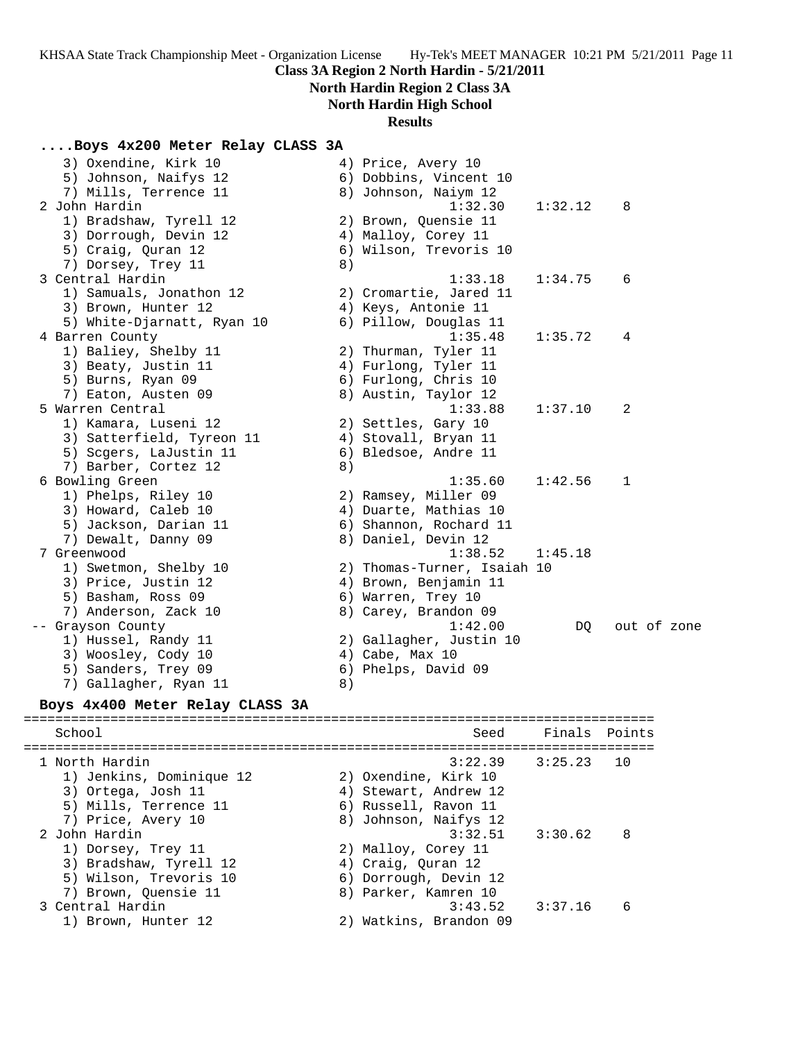# **North Hardin Region 2 Class 3A**

# **North Hardin High School**

## **Results**

## **....Boys 4x200 Meter Relay CLASS 3A**

| 3) Oxendine, Kirk 10       |    | 4) Price, Avery 10          |         |             |  |
|----------------------------|----|-----------------------------|---------|-------------|--|
| 5) Johnson, Naifys 12      |    | 6) Dobbins, Vincent 10      |         |             |  |
| 7) Mills, Terrence 11      |    | 8) Johnson, Naiym 12        |         |             |  |
| 2 John Hardin              |    | 1:32.30                     | 1:32.12 | 8           |  |
| 1) Bradshaw, Tyrell 12     |    | 2) Brown, Quensie 11        |         |             |  |
| 3) Dorrough, Devin 12      |    | 4) Malloy, Corey 11         |         |             |  |
| 5) Craig, Quran 12         |    | 6) Wilson, Trevoris 10      |         |             |  |
| 7) Dorsey, Trey 11         | 8) |                             |         |             |  |
| 3 Central Hardin           |    | 1:33.18                     | 1:34.75 | 6           |  |
| 1) Samuals, Jonathon 12    |    | 2) Cromartie, Jared 11      |         |             |  |
| 3) Brown, Hunter 12        |    | 4) Keys, Antonie 11         |         |             |  |
| 5) White-Djarnatt, Ryan 10 |    | 6) Pillow, Douglas 11       |         |             |  |
| 4 Barren County            |    | 1:35.48                     | 1:35.72 | 4           |  |
| 1) Baliey, Shelby 11       |    | 2) Thurman, Tyler 11        |         |             |  |
| 3) Beaty, Justin 11        |    | 4) Furlong, Tyler 11        |         |             |  |
| 5) Burns, Ryan 09          |    | 6) Furlong, Chris 10        |         |             |  |
| 7) Eaton, Austen 09        |    | 8) Austin, Taylor 12        |         |             |  |
| 5 Warren Central           |    | 1:33.88                     | 1:37.10 | 2           |  |
| 1) Kamara, Luseni 12       |    | 2) Settles, Gary 10         |         |             |  |
| 3) Satterfield, Tyreon 11  |    | 4) Stovall, Bryan 11        |         |             |  |
| 5) Scgers, LaJustin 11     |    | 6) Bledsoe, Andre 11        |         |             |  |
| 7) Barber, Cortez 12       | 8) |                             |         |             |  |
| 6 Bowling Green            |    | 1:35.60                     | 1:42.56 | 1           |  |
| 1) Phelps, Riley 10        |    | 2) Ramsey, Miller 09        |         |             |  |
| 3) Howard, Caleb 10        |    | 4) Duarte, Mathias 10       |         |             |  |
| 5) Jackson, Darian 11      |    | 6) Shannon, Rochard 11      |         |             |  |
| 7) Dewalt, Danny 09        |    | 8) Daniel, Devin 12         |         |             |  |
| 7 Greenwood                |    | 1:38.52                     | 1:45.18 |             |  |
| 1) Swetmon, Shelby 10      |    | 2) Thomas-Turner, Isaiah 10 |         |             |  |
| 3) Price, Justin 12        |    | 4) Brown, Benjamin 11       |         |             |  |
| 5) Basham, Ross 09         |    | 6) Warren, Trey 10          |         |             |  |
| 7) Anderson, Zack 10       |    | 8) Carey, Brandon 09        |         |             |  |
| -- Grayson County          |    | 1:42.00                     | DQ.     | out of zone |  |
| 1) Hussel, Randy 11        |    | 2) Gallagher, Justin 10     |         |             |  |
| 3) Woosley, Cody 10        |    | 4) Cabe, Max 10             |         |             |  |
| 5) Sanders, Trey 09        |    | 6) Phelps, David 09         |         |             |  |
| 7) Gallagher, Ryan 11      | 8) |                             |         |             |  |
|                            |    |                             |         |             |  |

## **Boys 4x400 Meter Relay CLASS 3A**

| School                                                                                                          | Seed                                                                                                                  | Finals Points |    |
|-----------------------------------------------------------------------------------------------------------------|-----------------------------------------------------------------------------------------------------------------------|---------------|----|
| 1 North Hardin<br>1) Jenkins, Dominique 12<br>3) Ortega, Josh 11<br>5) Mills, Terrence 11<br>7) Price, Avery 10 | $3:22.39$ $3:25.23$<br>2) Oxendine, Kirk 10<br>4) Stewart, Andrew 12<br>6) Russell, Ravon 11<br>8) Johnson, Naifys 12 |               | 10 |
| 2 John Hardin<br>1) Dorsey, Trey 11<br>3) Bradshaw, Tyrell 12<br>5) Wilson, Trevoris 10<br>7) Brown, Quensie 11 | $3:32.51$ $3:30.62$<br>2) Malloy, Corey 11<br>4) Craig, Quran 12<br>6) Dorrough, Devin 12<br>8) Parker, Kamren 10     |               | 8  |
| 3 Central Hardin<br>1) Brown, Hunter 12                                                                         | 3:43.52<br>2) Watkins, Brandon 09                                                                                     | 3:37.16       | 6  |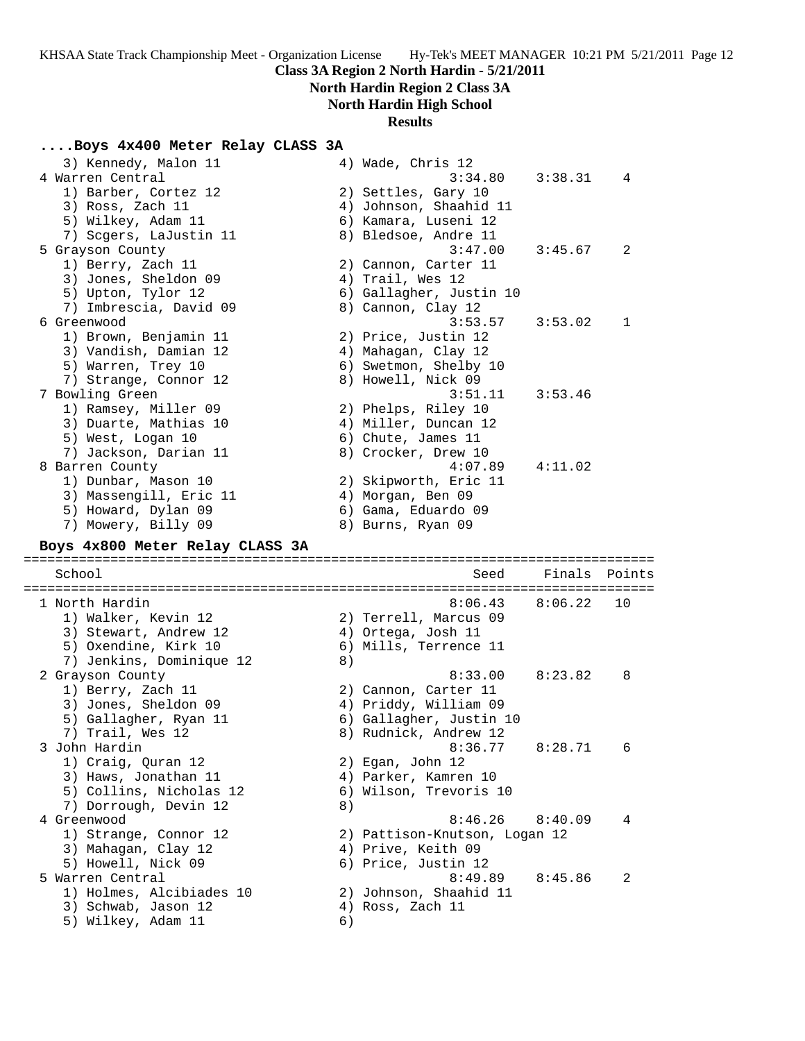# **North Hardin Region 2 Class 3A**

# **North Hardin High School**

## **Results**

#### **....Boys 4x400 Meter Relay CLASS 3A**

| 3) Kennedy, Malon 11                           |    | 4) Wade, Chris 12                                |         |        |
|------------------------------------------------|----|--------------------------------------------------|---------|--------|
| 4 Warren Central                               |    | 3:34.80                                          | 3:38.31 | 4      |
| 1) Barber, Cortez 12                           |    | 2) Settles, Gary 10                              |         |        |
| 3) Ross, Zach 11                               |    | 4) Johnson, Shaahid 11                           |         |        |
| 5) Wilkey, Adam 11                             |    | 6) Kamara, Luseni 12                             |         |        |
| 7) Scgers, LaJustin 11                         |    | 8) Bledsoe, Andre 11                             |         |        |
| 5 Grayson County                               |    | 3:47.00                                          | 3:45.67 | 2      |
| 1) Berry, Zach 11                              |    | 2) Cannon, Carter 11                             |         |        |
| 3) Jones, Sheldon 09                           |    | 4) Trail, Wes 12                                 |         |        |
| 5) Upton, Tylor 12                             |    | 6) Gallagher, Justin 10                          |         |        |
| 7) Imbrescia, David 09<br>6 Greenwood          |    | 8) Cannon, Clay 12<br>3:53.57                    | 3:53.02 | 1      |
|                                                |    | 2) Price, Justin 12                              |         |        |
| 1) Brown, Benjamin 11<br>3) Vandish, Damian 12 |    |                                                  |         |        |
| 5) Warren, Trey 10                             |    | 4) Mahagan, Clay 12<br>6) Swetmon, Shelby 10     |         |        |
| 7) Strange, Connor 12                          |    | 8) Howell, Nick 09                               |         |        |
| 7 Bowling Green                                |    | 3:51.11                                          | 3:53.46 |        |
| 1) Ramsey, Miller 09                           |    | 2) Phelps, Riley 10                              |         |        |
| 3) Duarte, Mathias 10                          |    | 4) Miller, Duncan 12                             |         |        |
| 5) West, Logan 10                              |    | 6) Chute, James 11                               |         |        |
| 7) Jackson, Darian 11                          |    | 8) Crocker, Drew 10                              |         |        |
| 8 Barren County                                |    | 4:07.89                                          | 4:11.02 |        |
| 1) Dunbar, Mason 10                            |    | 2) Skipworth, Eric 11                            |         |        |
| 3) Massengill, Eric 11                         |    | 4) Morgan, Ben 09                                |         |        |
| 5) Howard, Dylan 09                            |    | 6) Gama, Eduardo 09                              |         |        |
| 7) Mowery, Billy 09                            |    | 8) Burns, Ryan 09                                |         |        |
| Boys 4x800 Meter Relay CLASS 3A                |    |                                                  |         |        |
|                                                |    |                                                  |         |        |
| School                                         |    | Seed                                             | Finals  | Points |
| 1 North Hardin                                 |    | 8:06.43                                          | 8:06.22 | 10     |
|                                                |    |                                                  |         |        |
|                                                |    |                                                  |         |        |
| 1) Walker, Kevin 12                            |    | 2) Terrell, Marcus 09                            |         |        |
| 3) Stewart, Andrew 12                          |    | 4) Ortega, Josh 11                               |         |        |
| 5) Oxendine, Kirk 10                           |    | 6) Mills, Terrence 11                            |         |        |
| 7) Jenkins, Dominique 12                       | 8) | 8:33.00                                          | 8:23.82 | 8      |
| 2 Grayson County                               |    | 2) Cannon, Carter 11                             |         |        |
| 1) Berry, Zach 11                              |    |                                                  |         |        |
| 3) Jones, Sheldon 09                           |    | 4) Priddy, William 09                            |         |        |
| 5) Gallagher, Ryan 11<br>7) Trail, Wes 12      |    | 6) Gallagher, Justin 10<br>8) Rudnick, Andrew 12 |         |        |
| 3 John Hardin                                  |    | 8:36.77                                          |         | 6      |
| 1) Craig, Quran 12                             |    | 2) Egan, John 12                                 | 8:28.71 |        |
| 3) Haws, Jonathan 11                           |    | 4) Parker, Kamren 10                             |         |        |
| 5) Collins, Nicholas 12                        |    | 6) Wilson, Trevoris 10                           |         |        |
| 7) Dorrough, Devin 12                          | 8) |                                                  |         |        |
| 4 Greenwood                                    |    | 8:46.26                                          | 8:40.09 | 4      |
| 1) Strange, Connor 12                          |    | 2) Pattison-Knutson, Logan 12                    |         |        |
| 3) Mahagan, Clay 12                            |    | 4) Prive, Keith 09                               |         |        |
| 5) Howell, Nick 09                             |    | 6) Price, Justin 12                              |         |        |

5 Warren Central 8:49.89 8:45.86 2

- 1) Holmes, Alcibiades 10 2) Johnson, Shaahid 11
- 3) Schwab, Jason 12 (4) Ross, Zach 11 1) Holmes, Alchbrach --<br>3) Schwab, Jason 12 (4)<br>5) Wilkey, Adam 11 (6)